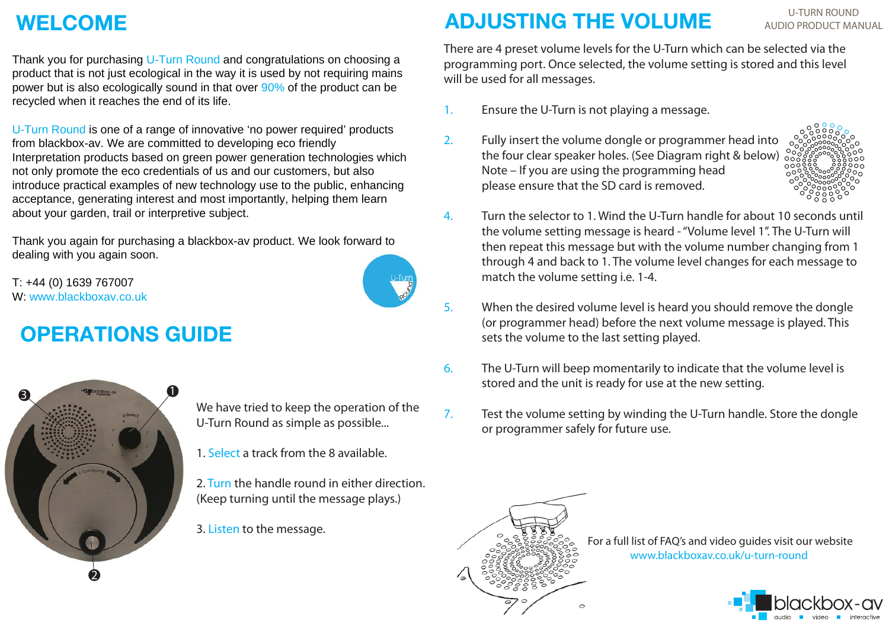# **WELCOME**

Thank you for purchasing U-Turn Round and congratulations on choosing a product that is not just ecological in the way it is used by not requiring mains power but is also ecologically sound in that over 90% of the product can be recycled when it reaches the end of its life.

U-Turn Round is one of a range of innovative 'no power required' products from blackbox-av. We are committed to developing eco friendly Interpretation products based on green power generation technologies which not only promote the eco credentials of us and our customers, but also introduce practical examples of new technology use to the public, enhancing acceptance, generating interest and most importantly, helping them learn about your garden, trail or interpretive subject.

Thank you again for purchasing a blackbox-av product. We look forward to dealing with you again soon.

T: +44 (0) 1639 767007 W: www.blackboxav.co.uk

# **OPERATIONS GUIDE**



We have tried to keep the operation of the U-Turn Round as simple as possible...

1. Select a track from the 8 available.

2. Turn the handle round in either direction. (Keep turning until the message plays.)

3. Listen to the message.

# U-TURN ROUND AUDIO PRODUCT MANUAL **ADJUSTING THE VOLUME**

There are 4 preset volume levels for the U-Turn which can be selected via the programming port. Once selected, the volume setting is stored and this level will be used for all messages.

- 1. Ensure the U-Turn is not playing a message.
- 2. Fully insert the volume dongle or programmer head into the four clear speaker holes. (See Diagram right & below) Note – If you are using the programming head please ensure that the SD card is removed.



- 4. Turn the selector to 1. Wind the U-Turn handle for about 10 seconds until the volume setting message is heard - "Volume level 1". The U-Turn will then repeat this message but with the volume number changing from 1 through 4 and back to 1. The volume level changes for each message to match the volume setting i.e. 1-4.
- 5. When the desired volume level is heard you should remove the dongle (or programmer head) before the next volume message is played. This sets the volume to the last setting played.
- 6. The U-Turn will beep momentarily to indicate that the volume level is stored and the unit is ready for use at the new setting.
- 7. Test the volume setting by winding the U-Turn handle. Store the dongle or programmer safely for future use.



 For a full list of FAQ's and video guides visit our website www.blackboxav.co.uk/u-turn-round

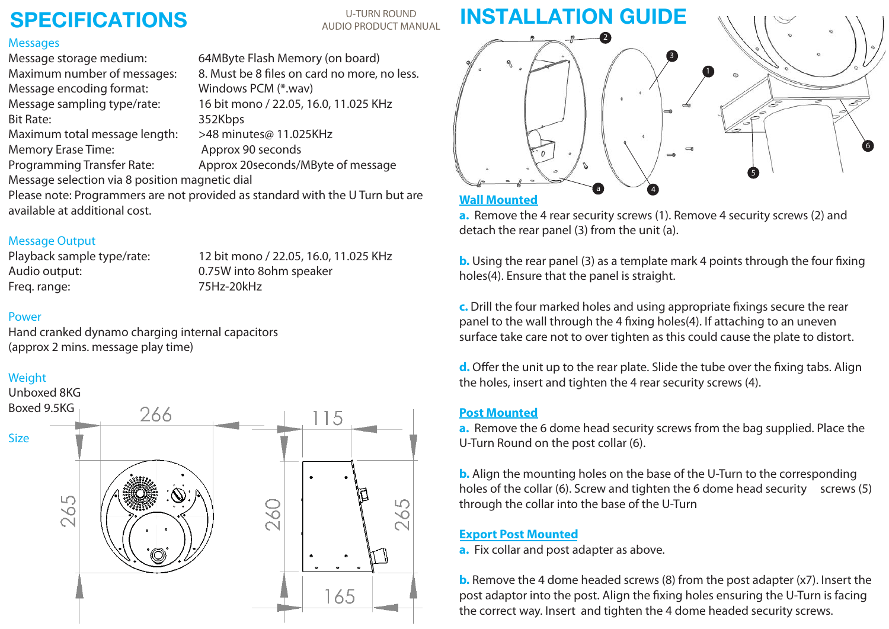# **SPECIFICATIONS**

#### **Messages**

Message storage medium: 64MByte Flash Memory (on board) Maximum number of messages: 8. Must be 8 files on card no more, no less. Message encoding format: Windows PCM (\*.wav) Message sampling type/rate: 16 bit mono / 22.05, 16.0, 11.025 KHz Bit Rate: 352Kbps Maximum total message length: >48 minutes@ 11.025KHz Memory Erase Time: Approx 90 seconds Programming Transfer Rate: Approx 20seconds/MByte of message Message selection via 8 position magnetic dial

U-TURN ROUNDAUDIO PRODUCT MANUAL

Please note: Programmers are not provided as standard with the U Turn but are available at additional cost.

### Message Output

Audio output: 0.75W into 8ohm speaker Freq. range: 75Hz-20kHz

Playback sample type/rate: 12 bit mono / 22.05, 16.0, 11.025 KHz

### Power

Hand cranked dynamo charging internal capacitors (approx 2 mins. message play time)

### **Weight**





#### **Wall Mounted**

**a.** Remove the 4 rear security screws (1). Remove 4 security screws (2) and detach the rear panel (3) from the unit (a).

**b.** Using the rear panel (3) as a template mark 4 points through the four fixing holes(4). Ensure that the panel is straight.

**c.** Drill the four marked holes and using appropriate fixings secure the rear panel to the wall through the 4 fixing holes(4). If attaching to an uneven surface take care not to over tighten as this could cause the plate to distort.

**d.** Offer the unit up to the rear plate. Slide the tube over the fixing tabs. Align the holes, insert and tighten the 4 rear security screws (4).

#### **Post Mounted**

**a.** Remove the 6 dome head security screws from the bag supplied. Place the U-Turn Round on the post collar (6).

**b.** Align the mounting holes on the base of the U-Turn to the corresponding holes of the collar (6). Screw and tighten the 6 dome head security screws  $(5)$ through the collar into the base of the U-Turn

#### **Export Post Mounted**

**a.** Fix collar and post adapter as above.

**b.** Remove the 4 dome headed screws (8) from the post adapter (x7). Insert the post adaptor into the post. Align the fixing holes ensuring the U-Turn is facing the correct way. Insert and tighten the 4 dome headed security screws.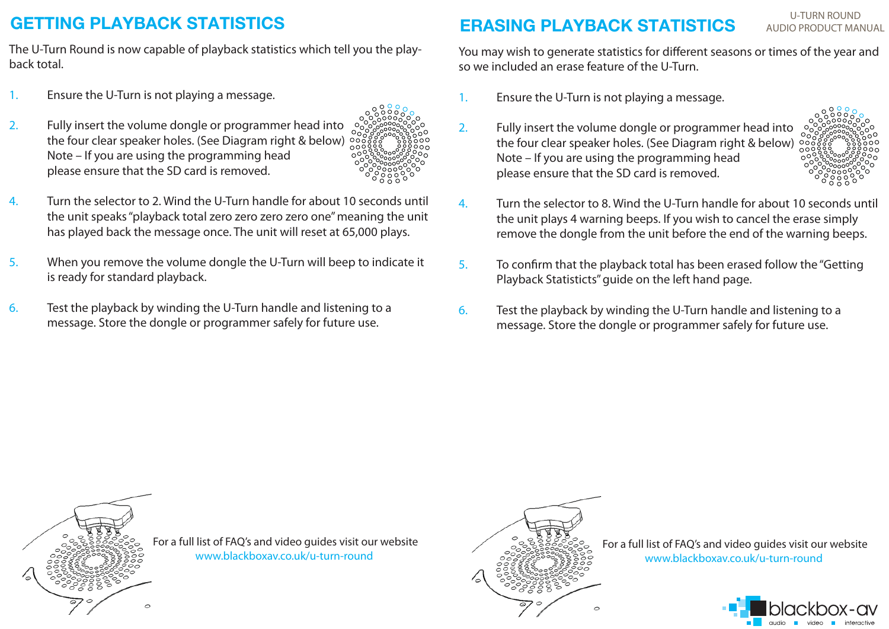## **GETTING PLAYBACK STATISTICS**

The U-Turn Round is now capable of playback statistics which tell you the playback total.

- 1. Ensure the U-Turn is not playing a message.
- 2. Fully insert the volume dongle or programmer head into the four clear speaker holes. (See Diagram right & below) Note – If you are using the programming head please ensure that the SD card is removed.



- 4. Turn the selector to 2. Wind the U-Turn handle for about 10 seconds until the unit speaks "playback total zero zero zero zero one" meaning the unit has played back the message once. The unit will reset at 65,000 plays.
- 5. When you remove the volume dongle the U-Turn will beep to indicate it is ready for standard playback.
- 6. Test the playback by winding the U-Turn handle and listening to a message. Store the dongle or programmer safely for future use.

## **ERASING PLAYBACK STATISTICS**

U-TURN ROUNDAUDIO PRODUCT MANUAL

You may wish to generate statistics for different seasons or times of the year and so we included an erase feature of the U-Turn.

- 1. Ensure the U-Turn is not playing a message.
- 2. Fully insert the volume dongle or programmer head into the four clear speaker holes. (See Diagram right & below) Note – If you are using the programming head please ensure that the SD card is removed.



- 4. Turn the selector to 8. Wind the U-Turn handle for about 10 seconds until the unit plays 4 warning beeps. If you wish to cancel the erase simply remove the dongle from the unit before the end of the warning beeps.
- 5. To confirm that the playback total has been erased follow the "Getting Playback Statisticts" guide on the left hand page.
- 6. Test the playback by winding the U-Turn handle and listening to a message. Store the dongle or programmer safely for future use.



 For a full list of FAQ's and video guides visit our website www.blackboxav.co.uk/u-turn-round



 For a full list of FAQ's and video guides visit our website www.blackboxav.co.uk/u-turn-round